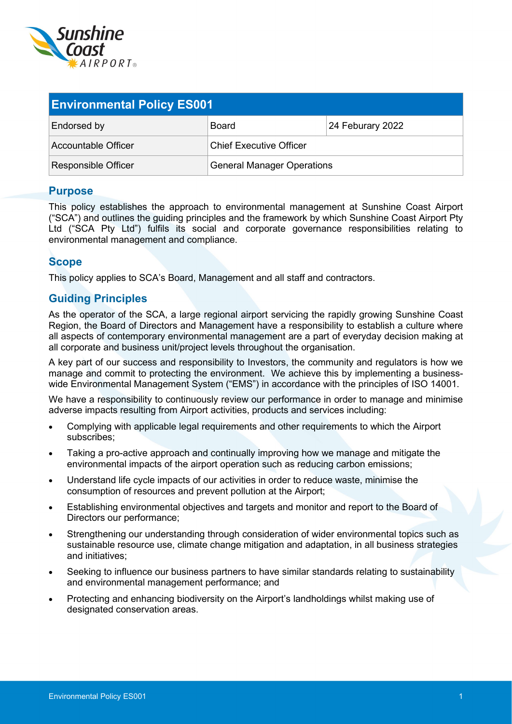

| <b>Environmental Policy ES001</b> |                                |                  |  |  |
|-----------------------------------|--------------------------------|------------------|--|--|
| Endorsed by                       | Board                          | 24 Feburary 2022 |  |  |
| Accountable Officer               | <b>Chief Executive Officer</b> |                  |  |  |
| <b>Responsible Officer</b>        | General Manager Operations     |                  |  |  |

## **Purpose**

This policy establishes the approach to environmental management at Sunshine Coast Airport ("SCA") and outlines the guiding principles and the framework by which Sunshine Coast Airport Pty Ltd ("SCA Pty Ltd") fulfils its social and corporate governance responsibilities relating to environmental management and compliance.

## **Scope**

This policy applies to SCA's Board, Management and all staff and contractors.

## **Guiding Principles**

As the operator of the SCA, a large regional airport servicing the rapidly growing Sunshine Coast Region, the Board of Directors and Management have a responsibility to establish a culture where all aspects of contemporary environmental management are a part of everyday decision making at all corporate and business unit/project levels throughout the organisation.

A key part of our success and responsibility to Investors, the community and regulators is how we manage and commit to protecting the environment. We achieve this by implementing a businesswide Environmental Management System ("EMS") in accordance with the principles of ISO 14001.

We have a responsibility to continuously review our performance in order to manage and minimise adverse impacts resulting from Airport activities, products and services including:

- Complying with applicable legal requirements and other requirements to which the Airport subscribes;
- Taking a pro-active approach and continually improving how we manage and mitigate the environmental impacts of the airport operation such as reducing carbon emissions;
- Understand life cycle impacts of our activities in order to reduce waste, minimise the consumption of resources and prevent pollution at the Airport;
- Establishing environmental objectives and targets and monitor and report to the Board of Directors our performance;
- Strengthening our understanding through consideration of wider environmental topics such as sustainable resource use, climate change mitigation and adaptation, in all business strategies and initiatives;
- Seeking to influence our business partners to have similar standards relating to sustainability and environmental management performance; and
- Protecting and enhancing biodiversity on the Airport's landholdings whilst making use of designated conservation areas.